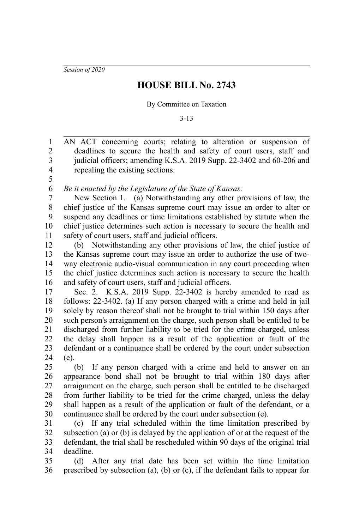*Session of 2020*

5

## **HOUSE BILL No. 2743**

## By Committee on Taxation

3-13

AN ACT concerning courts; relating to alteration or suspension of deadlines to secure the health and safety of court users, staff and judicial officers; amending K.S.A. 2019 Supp. 22-3402 and 60-206 and repealing the existing sections. 1 2 3 4

*Be it enacted by the Legislature of the State of Kansas:* 6

New Section 1. (a) Notwithstanding any other provisions of law, the chief justice of the Kansas supreme court may issue an order to alter or suspend any deadlines or time limitations established by statute when the chief justice determines such action is necessary to secure the health and safety of court users, staff and judicial officers. 7 8 9 10 11

(b) Notwithstanding any other provisions of law, the chief justice of the Kansas supreme court may issue an order to authorize the use of twoway electronic audio-visual communication in any court proceeding when the chief justice determines such action is necessary to secure the health and safety of court users, staff and judicial officers. 12 13 14 15 16

Sec. 2. K.S.A. 2019 Supp. 22-3402 is hereby amended to read as follows: 22-3402. (a) If any person charged with a crime and held in jail solely by reason thereof shall not be brought to trial within 150 days after such person's arraignment on the charge, such person shall be entitled to be discharged from further liability to be tried for the crime charged, unless the delay shall happen as a result of the application or fault of the defendant or a continuance shall be ordered by the court under subsection (e). 17 18 19 20 21 22 23 24

(b) If any person charged with a crime and held to answer on an appearance bond shall not be brought to trial within 180 days after arraignment on the charge, such person shall be entitled to be discharged from further liability to be tried for the crime charged, unless the delay shall happen as a result of the application or fault of the defendant, or a continuance shall be ordered by the court under subsection (e). 25 26 27 28 29 30

(c) If any trial scheduled within the time limitation prescribed by subsection (a) or (b) is delayed by the application of or at the request of the defendant, the trial shall be rescheduled within 90 days of the original trial deadline. 31 32 33 34

(d) After any trial date has been set within the time limitation prescribed by subsection (a), (b) or (c), if the defendant fails to appear for 35 36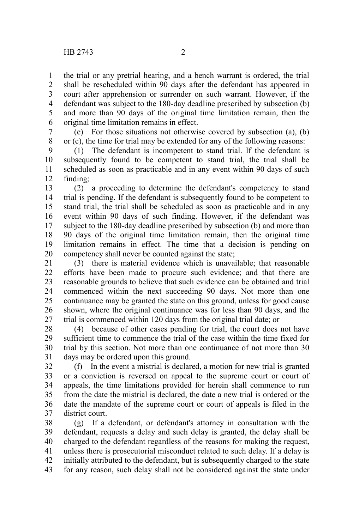the trial or any pretrial hearing, and a bench warrant is ordered, the trial shall be rescheduled within 90 days after the defendant has appeared in court after apprehension or surrender on such warrant. However, if the defendant was subject to the 180-day deadline prescribed by subsection (b) and more than 90 days of the original time limitation remain, then the original time limitation remains in effect. 1 2 3 4 5 6

(e) For those situations not otherwise covered by subsection (a), (b) or (c), the time for trial may be extended for any of the following reasons: 7 8

(1) The defendant is incompetent to stand trial. If the defendant is subsequently found to be competent to stand trial, the trial shall be scheduled as soon as practicable and in any event within 90 days of such finding; 9 10 11 12

(2) a proceeding to determine the defendant's competency to stand trial is pending. If the defendant is subsequently found to be competent to stand trial, the trial shall be scheduled as soon as practicable and in any event within 90 days of such finding. However, if the defendant was subject to the 180-day deadline prescribed by subsection (b) and more than 90 days of the original time limitation remain, then the original time limitation remains in effect. The time that a decision is pending on competency shall never be counted against the state; 13 14 15 16 17 18 19 20

(3) there is material evidence which is unavailable; that reasonable efforts have been made to procure such evidence; and that there are reasonable grounds to believe that such evidence can be obtained and trial commenced within the next succeeding 90 days. Not more than one continuance may be granted the state on this ground, unless for good cause shown, where the original continuance was for less than 90 days, and the trial is commenced within 120 days from the original trial date; or 21 22 23 24 25 26 27

(4) because of other cases pending for trial, the court does not have sufficient time to commence the trial of the case within the time fixed for trial by this section. Not more than one continuance of not more than 30 days may be ordered upon this ground. 28 29 30 31

(f) In the event a mistrial is declared, a motion for new trial is granted or a conviction is reversed on appeal to the supreme court or court of appeals, the time limitations provided for herein shall commence to run from the date the mistrial is declared, the date a new trial is ordered or the date the mandate of the supreme court or court of appeals is filed in the district court. 32 33 34 35 36 37

(g) If a defendant, or defendant's attorney in consultation with the defendant, requests a delay and such delay is granted, the delay shall be charged to the defendant regardless of the reasons for making the request, unless there is prosecutorial misconduct related to such delay. If a delay is initially attributed to the defendant, but is subsequently charged to the state for any reason, such delay shall not be considered against the state under 38 39 40 41 42 43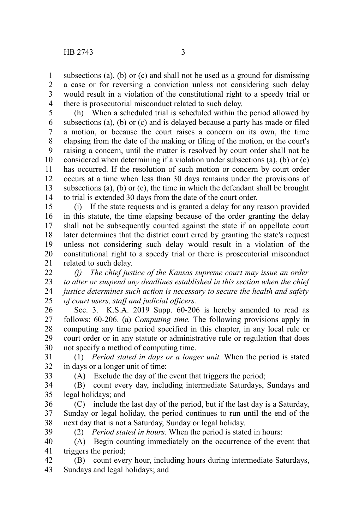subsections (a), (b) or (c) and shall not be used as a ground for dismissing a case or for reversing a conviction unless not considering such delay would result in a violation of the constitutional right to a speedy trial or there is prosecutorial misconduct related to such delay. 1 2 3 4

(h) When a scheduled trial is scheduled within the period allowed by subsections (a), (b) or (c) and is delayed because a party has made or filed a motion, or because the court raises a concern on its own, the time elapsing from the date of the making or filing of the motion, or the court's raising a concern, until the matter is resolved by court order shall not be considered when determining if a violation under subsections (a), (b) or (c) has occurred. If the resolution of such motion or concern by court order occurs at a time when less than 30 days remains under the provisions of subsections (a), (b) or (c), the time in which the defendant shall be brought to trial is extended 30 days from the date of the court order. 5 6 7 8 9 10 11 12 13 14

(i) If the state requests and is granted a delay for any reason provided in this statute, the time elapsing because of the order granting the delay shall not be subsequently counted against the state if an appellate court later determines that the district court erred by granting the state's request unless not considering such delay would result in a violation of the constitutional right to a speedy trial or there is prosecutorial misconduct related to such delay. 15 16 17 18 19 20 21

*(j) The chief justice of the Kansas supreme court may issue an order to alter or suspend any deadlines established in this section when the chief justice determines such action is necessary to secure the health and safety of court users, staff and judicial officers.* 22 23 24 25

Sec. 3. K.S.A. 2019 Supp. 60-206 is hereby amended to read as follows: 60-206. (a) *Computing time.* The following provisions apply in computing any time period specified in this chapter, in any local rule or court order or in any statute or administrative rule or regulation that does not specify a method of computing time. 26 27 28 29 30

(1) *Period stated in days or a longer unit.* When the period is stated in days or a longer unit of time: 31 32

33

(A) Exclude the day of the event that triggers the period;

- (B) count every day, including intermediate Saturdays, Sundays and legal holidays; and 34 35
- (C) include the last day of the period, but if the last day is a Saturday, Sunday or legal holiday, the period continues to run until the end of the next day that is not a Saturday, Sunday or legal holiday. 36 37 38
- (2) *Period stated in hours.* When the period is stated in hours: 39
- (A) Begin counting immediately on the occurrence of the event that triggers the period; 40 41
- (B) count every hour, including hours during intermediate Saturdays, Sundays and legal holidays; and 42 43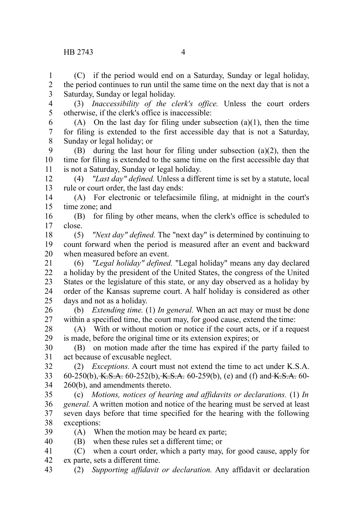(C) if the period would end on a Saturday, Sunday or legal holiday, the period continues to run until the same time on the next day that is not a Saturday, Sunday or legal holiday. 1 2 3

- (3) *Inaccessibility of the clerk's office.* Unless the court orders otherwise, if the clerk's office is inaccessible: 4 5
- (A) On the last day for filing under subsection  $(a)(1)$ , then the time for filing is extended to the first accessible day that is not a Saturday, Sunday or legal holiday; or 6 7 8
- (B) during the last hour for filing under subsection (a)(2), then the time for filing is extended to the same time on the first accessible day that is not a Saturday, Sunday or legal holiday. 9 10 11
- (4) *"Last day" defined.* Unless a different time is set by a statute, local rule or court order, the last day ends: 12 13
- (A) For electronic or telefacsimile filing, at midnight in the court's time zone; and 14 15
- (B) for filing by other means, when the clerk's office is scheduled to close. 16 17
- (5) *"Next day" defined.* The "next day" is determined by continuing to count forward when the period is measured after an event and backward when measured before an event. 18 19 20
- (6) *"Legal holiday" defined.* "Legal holiday" means any day declared a holiday by the president of the United States, the congress of the United States or the legislature of this state, or any day observed as a holiday by order of the Kansas supreme court. A half holiday is considered as other days and not as a holiday. 21 22 23 24 25
- (b) *Extending time.* (1) *In general.* When an act may or must be done within a specified time, the court may, for good cause, extend the time: 26 27
- (A) With or without motion or notice if the court acts, or if a request is made, before the original time or its extension expires; or 28 29
- (B) on motion made after the time has expired if the party failed to act because of excusable neglect. 30 31
- (2) *Exceptions.* A court must not extend the time to act under K.S.A. 60-250(b), K.S.A. 60-252(b), K.S.A. 60-259(b), (e) and (f) and K.S.A. 60-260(b), and amendments thereto. 32 33 34
- (c) *Motions, notices of hearing and affidavits or declarations.* (1) *In general.* A written motion and notice of the hearing must be served at least seven days before that time specified for the hearing with the following exceptions: 35 36 37 38
- (A) When the motion may be heard ex parte; 39 40
	- (B) when these rules set a different time; or
- (C) when a court order, which a party may, for good cause, apply for ex parte, sets a different time. 41 42
- (2) *Supporting affidavit or declaration.* Any affidavit or declaration 43